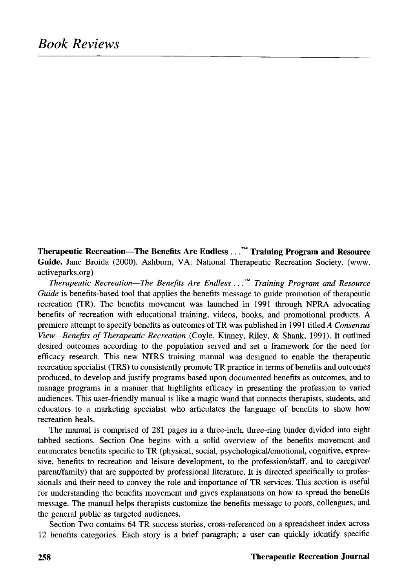**Therapeutic Recreation—The Benefits Are Endless ...™ Training Program and Resource Guide.** Jane Broida (2000). Ashburn, VA: National Therapeutic Recreation Society, (www. activeparks.org)

*Therapeutic Recreation*—*The Benefits Are Endless ..*.™ *Training Program and Resource Guide* is benefits-based tool that applies the benefits message to guide promotion of therapeutic recreation (TR). The benefits movement was launched in 1991 through NPRA advocating benefits of recreation with educational training, videos, books, and promotional products. A premiere attempt to specify benefits as outcomes of TR was published in 1991 titled A *Consensus View*—*Benefits of Therapeutic Recreation* (Coyle, Kinney, Riley, & Shank, 1991). It outlined desired outcomes according to the population served and set a framework for the need for efficacy research. This new NTRS training manual was designed to enable the therapeutic recreation specialist (TRS) to consistently promote TR practice in terms of benefits and outcomes produced, to develop and justify programs based upon documented benefits as outcomes, and to manage programs in a manner that highlights efficacy in presenting the profession to varied audiences. This user-friendly manual is like a magic wand that connects therapists, students, and educators to a marketing specialist who articulates the language of benefits to show how recreation heals.

The manual is comprised of 281 pages in a three-inch, three-ring binder divided into eight tabbed sections. Section One begins with a solid overview of the benefits movement and enumerates benefits specific to TR (physical, social, psychological/emotional, cognitive, expressive, benefits to recreation and leisure development, to the profession/staff, and to caregiver/ parent/family) that are supported by professional literature. It is directed specifically to professionals and their need to convey the role and importance of TR services. This section is useful for understanding the benefits movement and gives explanations on how to spread the benefits message. The manual helps therapists customize the benefits message to peers, colleagues, and the general public as targeted audiences.

Section Two contains 64 TR success stories, cross-referenced on a spreadsheet index across 12 benefits categories. Each story is a brief paragraph; a user can quickly identify specific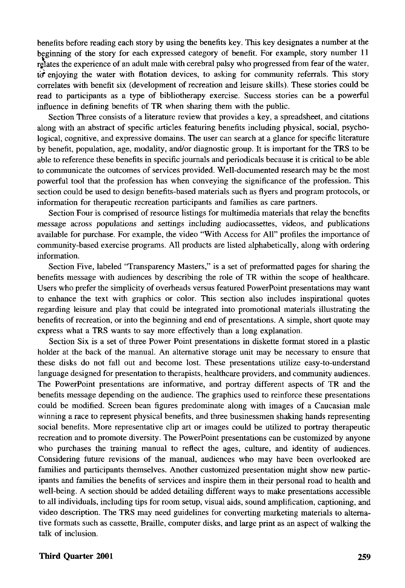benefits before reading each story by using the benefits key. This key designates a number at the beginning of the story for each expressed category of benefit. For example, story number 11 rebates the experience of an adult male with cerebral palsy who progressed from fear of the water, to enjoying the water with flotation devices, to asking for community referrals. This story correlates with benefit six (development of recreation and leisure skills). These stories could be read to participants as a type of bibliotherapy exercise. Success stories can be a powerful influence in defining benefits of TR when sharing them with the public.

Section Three consists of a literature review that provides a key, a spreadsheet, and citations along with an abstract of specific articles featuring benefits including physical, social, psychological, cognitive, and expressive domains. The user can search at a glance for specific literature by benefit, population, age, modality, and/or diagnostic group. It is important for the TRS to be able to reference these benefits in specific journals and periodicals because it is critical to be able to communicate the outcomes of services provided. Well-documented research may be the most powerful tool that the profession has when conveying the significance of the profession. This section could be used to design benefits-based materials such as flyers and program protocols, or information for therapeutic recreation participants and families as care partners.

Section Four is comprised of resource listings for multimedia materials that relay the benefits message across populations and settings including audiocassettes, videos, and publications available for purchase. For example, the video "With Access for All" profiles the importance of community-based exercise programs. All products are listed alphabetically, along with ordering information.

Section Five, labeled "Transparency Masters," is a set of preformatted pages for sharing the benefits message with audiences by describing the role of TR within the scope of healthcare. Users who prefer the simplicity of overheads versus featured PowerPoint presentations may want to enhance the text with graphics or color. This section also includes inspirational quotes regarding leisure and play that could be integrated into promotional materials illustrating the benefits of recreation, or into the beginning and end of presentations. A simple, short quote may express what a TRS wants to say more effectively than a long explanation.

Section Six is a set of three Power Point presentations in diskette format stored in a plastic holder at the back of the manual. An alternative storage unit may be necessary to ensure that these disks do not fall out and become lost. These presentations utilize easy-to-understand language designed for presentation to therapists, healthcare providers, and community audiences. The PowerPoint presentations are informative, and portray different aspects of TR and the benefits message depending on the audience. The graphics used to reinforce these presentations could be modified. Screen bean figures predominate along with images of a Caucasian male winning a race to represent physical benefits, and three businessmen shaking hands representing social benefits. More representative clip art or images could be utilized to portray therapeutic recreation and to promote diversity. The PowerPoint presentations can be customized by anyone who purchases the training manual to reflect the ages, culture, and identity of audiences. Considering future revisions of the manual, audiences who may have been overlooked are families and participants themselves. Another customized presentation might show new participants and families the benefits of services and inspire them in their personal road to health and well-being. A section should be added detailing different ways to make presentations accessible to all individuals, including tips for room setup, visual aids, sound amplification, captioning, and video description. The TRS may need guidelines for converting marketing materials to alternative formats such as cassette, Braille, computer disks, and large print as an aspect of walking the talk of inclusion.